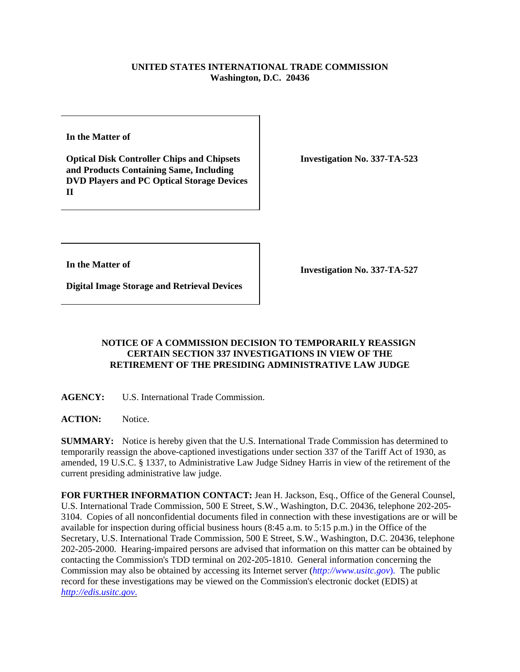## **UNITED STATES INTERNATIONAL TRADE COMMISSION Washington, D.C. 20436**

**In the Matter of** 

**Optical Disk Controller Chips and Chipsets and Products Containing Same, Including DVD Players and PC Optical Storage Devices II**

**Investigation No. 337-TA-523**

**In the Matter of** 

**Investigation No. 337-TA-527**

**Digital Image Storage and Retrieval Devices**

## **NOTICE OF A COMMISSION DECISION TO TEMPORARILY REASSIGN CERTAIN SECTION 337 INVESTIGATIONS IN VIEW OF THE RETIREMENT OF THE PRESIDING ADMINISTRATIVE LAW JUDGE**

**AGENCY:** U.S. International Trade Commission.

**ACTION:** Notice.

**SUMMARY:** Notice is hereby given that the U.S. International Trade Commission has determined to temporarily reassign the above-captioned investigations under section 337 of the Tariff Act of 1930, as amended, 19 U.S.C. § 1337, to Administrative Law Judge Sidney Harris in view of the retirement of the current presiding administrative law judge.

**FOR FURTHER INFORMATION CONTACT:** Jean H. Jackson, Esq., Office of the General Counsel, U.S. International Trade Commission, 500 E Street, S.W., Washington, D.C. 20436, telephone 202-205- 3104. Copies of all nonconfidential documents filed in connection with these investigations are or will be available for inspection during official business hours (8:45 a.m. to 5:15 p.m.) in the Office of the Secretary, U.S. International Trade Commission, 500 E Street, S.W., Washington, D.C. 20436, telephone 202-205-2000. Hearing-impaired persons are advised that information on this matter can be obtained by contacting the Commission's TDD terminal on 202-205-1810. General information concerning the Commission may also be obtained by accessing its Internet server (*http://www.usitc.gov*). The public record for these investigations may be viewed on the Commission's electronic docket (EDIS) at *http://edis.usitc.gov*.